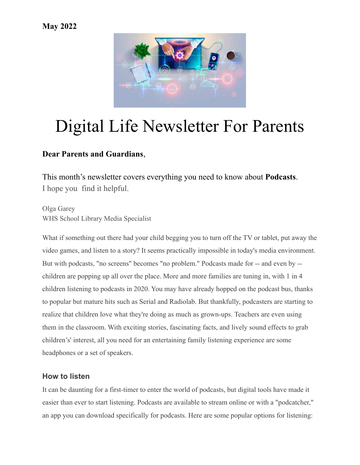### **May 2022**



# Digital Life Newsletter For Parents

## **Dear Parents and Guardians**,

This month's newsletter covers everything you need to know about **Podcasts**. I hope you find it helpful.

Olga Garey WHS School Library Media Specialist

What if something out there had your child begging you to turn off the TV or tablet, put away the video games, and listen to a story? It seems practically impossible in today's media environment. But with podcasts, "no screens" becomes "no problem." Podcasts made for -- and even by - children are popping up all over the place. More and more families are tuning in, with [1 in 4](https://www.ipsos.com/en-us/knowledge/media-brand-communication/Audio-in-the-Lockdown-Household-The-Emergence-of-Podcasts-Among-Kids-Families) [children listening to podcasts](https://www.ipsos.com/en-us/knowledge/media-brand-communication/Audio-in-the-Lockdown-Household-The-Emergence-of-Podcasts-Among-Kids-Families) in 2020. You may have already hopped on the podcast bus, thanks to popular but mature hits such as Serial and Radiolab. But thankfully, podcasters are starting to realize that children love what they're doing as much as grown-ups. [Teachers are even using](https://www.commonsense.org/education/articles/19-great-learning-podcasts-for-the-classroom) [them in the classroom.](https://www.commonsense.org/education/articles/19-great-learning-podcasts-for-the-classroom) With exciting stories, fascinating facts, and lively sound effects to grab children's' interest, all you need for an entertaining family listening experience are some headphones or a set of speakers.

#### **How to listen**

It can be daunting for a first-timer to enter the world of podcasts, but digital tools have made it easier than ever to start listening. Podcasts are available to stream online or with a "podcatcher," an app you can download specifically for podcasts. Here are some popular options for listening: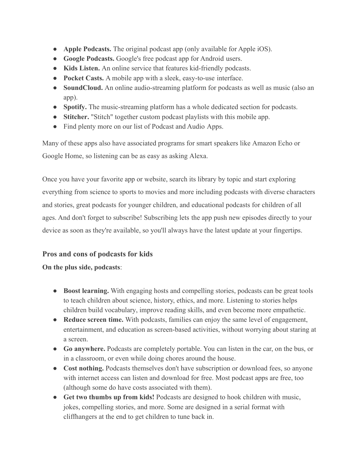- **[Apple Podcasts](https://www.commonsensemedia.org/app-reviews/podcasts).** The original podcast app (only available for Apple iOS).
- **[Google Podcasts.](https://podcasts.google.com/)** Google's free podcast app for Android users.
- **[Kids Listen](https://www.commonsensemedia.org/app-reviews/kids-listen-podcasts-for-kids).** An online service that features kid-friendly podcasts.
- **[Pocket Casts.](https://www.pocketcasts.com/)** A mobile app with a sleek, easy-to-use interface.
- **[SoundCloud](https://www.commonsensemedia.org/website-reviews/soundcloud).** An online audio-streaming platform for podcasts as well as music (also an app).
- **[Spotify.](https://www.commonsensemedia.org/website-reviews/spotify)** The music-streaming platform has a whole dedicated section for podcasts.
- **[Stitcher.](https://www.stitcher.com/)** "Stitch" together custom podcast playlists with this mobile app.
- Find plenty more on our list of [Podcast and Audio](https://www.commonsensemedia.org/lists/podcasts-and-audio-apps-for-kids) Apps.

Many of these apps also have associated programs for smart speakers like [Amazon Echo or](https://www.commonsensemedia.org/node/86921) [Google Home,](https://www.commonsensemedia.org/node/86921) so listening can be as easy as asking Alexa.

Once you have your favorite app or website, search its library by topic and start exploring everything from science to sports to movies and more including [podcasts with diverse characters](https://www.commonsensemedia.org/node/88097) [and stories,](https://www.commonsensemedia.org/node/88097) [great podcasts for](https://www.commonsensemedia.org/node/88081) younger children, and [educational podcasts for children of all](https://www.commonsensemedia.org/node/88078) [ages](https://www.commonsensemedia.org/node/88078). And don't forget to subscribe! Subscribing lets the app push new episodes directly to your device as soon as they're available, so you'll always have the latest update at your fingertips.

#### **Pros and cons of podcasts for kids**

#### **On the plus side, podcasts**:

- **Boost learning.** With engaging hosts and compelling stories, podcasts can be great tools to teach children about science, history, ethics, and more. Listening to stories helps children [build vocabulary](https://www.readingrockets.org/article/building-your-child-s-vocabulary), improve [reading skills,](https://www.kqed.org/mindshift/44389/why-listening-to-podcasts-helps-kids-improve-reading-skills) and even [become more empathetic](http://firesteelwa.org/2015/07/wired-for-empathy-how-and-why-stories-cultivate-emotions/).
- **Reduce screen time.** With podcasts, families can enjoy the same level of engagement, entertainment, and education as screen-based activities, without [worrying about staring at](https://www.commonsensemedia.org/articles/screen-time) [a screen.](https://www.commonsensemedia.org/articles/screen-time)
- **Go anywhere.** Podcasts are completely portable. You can listen in the car, on the bus, or in a classroom, or even while doing chores around the house.
- Cost nothing. Podcasts themselves don't have subscription or download fees, so anyone with internet access can listen and download for free. Most podcast apps are free, too (although some do have costs associated with them).
- **Get two thumbs up from kids!** Podcasts are designed to hook children with music, jokes, compelling stories, and more. Some are designed in a serial format with cliffhangers at the end to get children to tune back in.